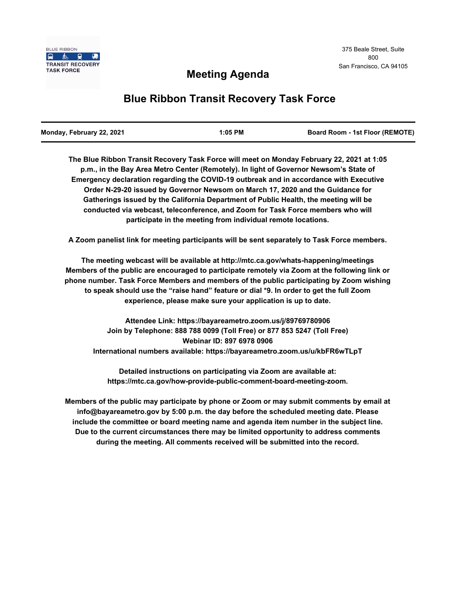

## **Meeting Agenda**

# **Blue Ribbon Transit Recovery Task Force**

| Monday, February 22, 2021 | 1:05 PM | <b>Board Room - 1st Floor (REMOTE)</b> |
|---------------------------|---------|----------------------------------------|
|                           |         |                                        |

**The Blue Ribbon Transit Recovery Task Force will meet on Monday February 22, 2021 at 1:05 p.m., in the Bay Area Metro Center (Remotely). In light of Governor Newsom's State of Emergency declaration regarding the COVID-19 outbreak and in accordance with Executive Order N-29-20 issued by Governor Newsom on March 17, 2020 and the Guidance for Gatherings issued by the California Department of Public Health, the meeting will be conducted via webcast, teleconference, and Zoom for Task Force members who will participate in the meeting from individual remote locations.** 

**A Zoom panelist link for meeting participants will be sent separately to Task Force members.**

**The meeting webcast will be available at http://mtc.ca.gov/whats-happening/meetings Members of the public are encouraged to participate remotely via Zoom at the following link or phone number. Task Force Members and members of the public participating by Zoom wishing to speak should use the "raise hand" feature or dial \*9. In order to get the full Zoom experience, please make sure your application is up to date.**

**Attendee Link: https://bayareametro.zoom.us/j/89769780906 Join by Telephone: 888 788 0099 (Toll Free) or 877 853 5247 (Toll Free) Webinar ID: 897 6978 0906 International numbers available: https://bayareametro.zoom.us/u/kbFR6wTLpT**

**Detailed instructions on participating via Zoom are available at: https://mtc.ca.gov/how-provide-public-comment-board-meeting-zoom.**

**Members of the public may participate by phone or Zoom or may submit comments by email at info@bayareametro.gov by 5:00 p.m. the day before the scheduled meeting date. Please include the committee or board meeting name and agenda item number in the subject line. Due to the current circumstances there may be limited opportunity to address comments during the meeting. All comments received will be submitted into the record.**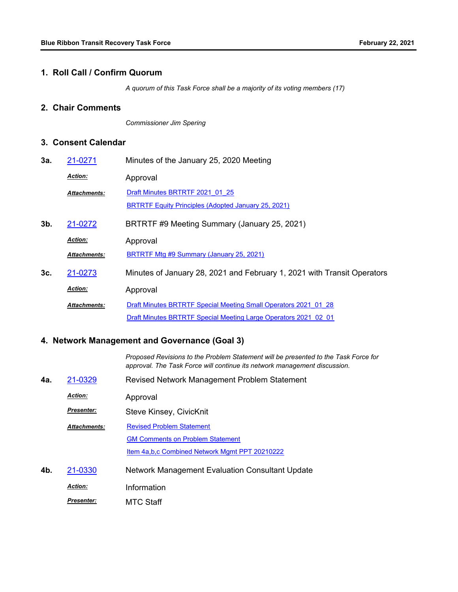#### **1. Roll Call / Confirm Quorum**

*A quorum of this Task Force shall be a majority of its voting members (17)*

### **2. Chair Comments**

*Commissioner Jim Spering*

### **3. Consent Calendar**

| 3a. | 21-0271             | Minutes of the January 25, 2020 Meeting                                 |  |
|-----|---------------------|-------------------------------------------------------------------------|--|
|     | <b>Action:</b>      | Approval                                                                |  |
|     | <b>Attachments:</b> | Draft Minutes BRTRTF 2021 01 25                                         |  |
|     |                     | <b>BRTRTF Equity Principles (Adopted January 25, 2021)</b>              |  |
| 3b. | 21-0272             | BRTRTF #9 Meeting Summary (January 25, 2021)                            |  |
|     | <b>Action:</b>      | Approval                                                                |  |
|     | <b>Attachments:</b> | <b>BRTRTF Mtg #9 Summary (January 25, 2021)</b>                         |  |
| 3c. | 21-0273             | Minutes of January 28, 2021 and February 1, 2021 with Transit Operators |  |
|     | <b>Action:</b>      | Approval                                                                |  |
|     | <b>Attachments:</b> | Draft Minutes BRTRTF Special Meeting Small Operators 2021 01 28         |  |
|     |                     | Draft Minutes BRTRTF Special Meeting Large Operators 2021 02 01         |  |

## **4. Network Management and Governance (Goal 3)**

*Proposed Revisions to the Problem Statement will be presented to the Task Force for approval. The Task Force will continue its network management discussion.*

| 4a. | 21-0329             | Revised Network Management Problem Statement     |  |
|-----|---------------------|--------------------------------------------------|--|
|     | <b>Action:</b>      | Approval                                         |  |
|     | <b>Presenter:</b>   | Steve Kinsey, CivicKnit                          |  |
|     | <b>Attachments:</b> | <b>Revised Problem Statement</b>                 |  |
|     |                     | <b>GM Comments on Problem Statement</b>          |  |
|     |                     | Item 4a, b, c Combined Network Mgmt PPT 20210222 |  |
| 4b. | 21-0330             | Network Management Evaluation Consultant Update  |  |
|     | <b>Action:</b>      | Information                                      |  |
|     | <b>Presenter:</b>   | MTC Staff                                        |  |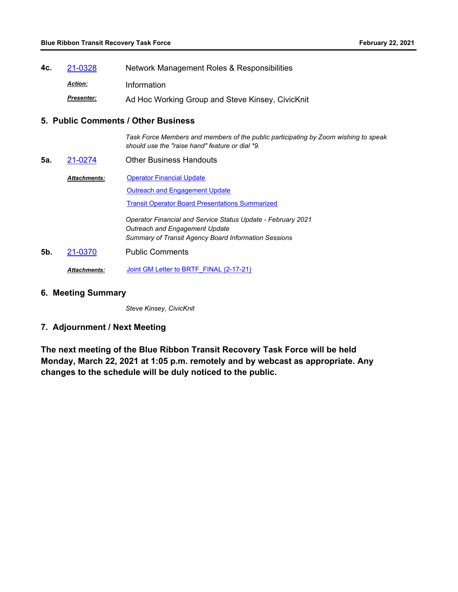**4c.** [21-0328](http://mtc.legistar.com/gateway.aspx?m=l&id=/matter.aspx?key=21921) Network Management Roles & Responsibilities *Action:* Information Ad Hoc Working Group and Steve Kinsey, CivicKnit *Presenter:*

#### **5. Public Comments / Other Business**

*Task Force Members and members of the public participating by Zoom wishing to speak should use the "raise hand" feature or dial \*9.*

- **5a.** [21-0274](http://mtc.legistar.com/gateway.aspx?m=l&id=/matter.aspx?key=21867) Other Business Handouts
	- **[Operator Financial Update](http://mtc.legistar.com/gateway.aspx?M=F&ID=08737204-8f85-4095-82ec-cc26d8880103.pdf) [Outreach and Engagement Update](http://mtc.legistar.com/gateway.aspx?M=F&ID=4f640cf6-5d61-477d-9fc5-ebac424b8cd0.pdf)** [Transit Operator Board Presentations Summarized](http://mtc.legistar.com/gateway.aspx?M=F&ID=3b9f9c20-54be-4b54-b53e-a2ee5ea47ad1.pdf) *Attachments: Operator Financial and Service Status Update - February 2021 Outreach and Engagement Update Summary of Transit Agency Board Information Sessions*
- **5b.** [21-0370](http://mtc.legistar.com/gateway.aspx?m=l&id=/matter.aspx?key=21963) Public Comments

*Attachments:* [Joint GM Letter to BRTF\\_FINAL \(2-17-21\)](http://mtc.legistar.com/gateway.aspx?M=F&ID=770b95e0-e06e-4fe9-8ec3-faf31e200244.pdf)

**6. Meeting Summary**

*Steve Kinsey, CivicKnit*

#### **7. Adjournment / Next Meeting**

**The next meeting of the Blue Ribbon Transit Recovery Task Force will be held Monday, March 22, 2021 at 1:05 p.m. remotely and by webcast as appropriate. Any changes to the schedule will be duly noticed to the public.**